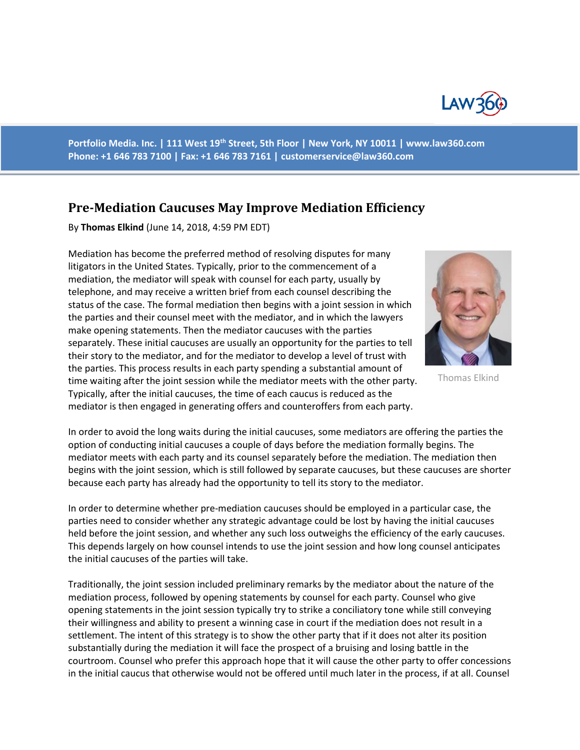

**Portfolio Media. Inc. | 111 West 19th Street, 5th Floor | New York, NY 10011 | www.law360.com Phone: +1 646 783 7100 | Fax: +1 646 783 7161 | [customerservice@law360.com](mailto:customerservice@law360.com)**

## **Pre-Mediation Caucuses May Improve Mediation Efficiency**

By **Thomas Elkind** (June 14, 2018, 4:59 PM EDT)

Mediation has become the preferred method of resolving disputes for many litigators in the United States. Typically, prior to the commencement of a mediation, the mediator will speak with counsel for each party, usually by telephone, and may receive a written brief from each counsel describing the status of the case. The formal mediation then begins with a joint session in which the parties and their counsel meet with the mediator, and in which the lawyers make opening statements. Then the mediator caucuses with the parties separately. These initial caucuses are usually an opportunity for the parties to tell their story to the mediator, and for the mediator to develop a level of trust with the parties. This process results in each party spending a substantial amount of time waiting after the joint session while the mediator meets with the other party. Typically, after the initial caucuses, the time of each caucus is reduced as the mediator is then engaged in generating offers and counteroffers from each party.



Thomas Elkind

In order to avoid the long waits during the initial caucuses, some mediators are offering the parties the option of conducting initial caucuses a couple of days before the mediation formally begins. The mediator meets with each party and its counsel separately before the mediation. The mediation then begins with the joint session, which is still followed by separate caucuses, but these caucuses are shorter because each party has already had the opportunity to tell its story to the mediator.

In order to determine whether pre-mediation caucuses should be employed in a particular case, the parties need to consider whether any strategic advantage could be lost by having the initial caucuses held before the joint session, and whether any such loss outweighs the efficiency of the early caucuses. This depends largely on how counsel intends to use the joint session and how long counsel anticipates the initial caucuses of the parties will take.

Traditionally, the joint session included preliminary remarks by the mediator about the nature of the mediation process, followed by opening statements by counsel for each party. Counsel who give opening statements in the joint session typically try to strike a conciliatory tone while still conveying their willingness and ability to present a winning case in court if the mediation does not result in a settlement. The intent of this strategy is to show the other party that if it does not alter its position substantially during the mediation it will face the prospect of a bruising and losing battle in the courtroom. Counsel who prefer this approach hope that it will cause the other party to offer concessions in the initial caucus that otherwise would not be offered until much later in the process, if at all. Counsel